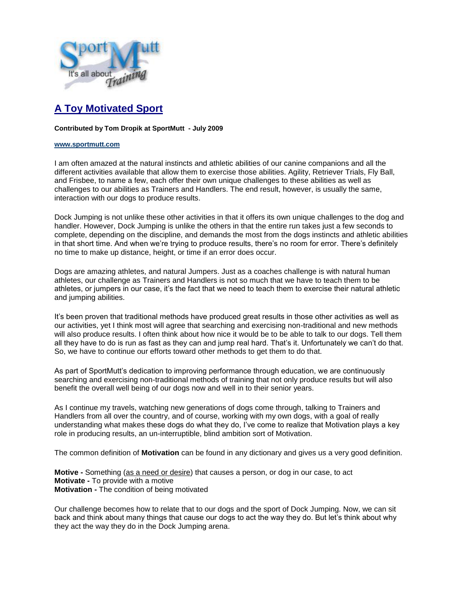

## **A Toy Motivated Sport**

## **Contributed by Tom Dropik at SportMutt - July 2009**

## **[www.sportmutt.com](file:///C:/Users/Brenda/Documents/My%20Webs/4petswithstyle/sportmutt/index.htm)**

I am often amazed at the natural instincts and athletic abilities of our canine companions and all the different activities available that allow them to exercise those abilities. Agility, Retriever Trials, Fly Ball, and Frisbee, to name a few, each offer their own unique challenges to these abilities as well as challenges to our abilities as Trainers and Handlers. The end result, however, is usually the same, interaction with our dogs to produce results.

Dock Jumping is not unlike these other activities in that it offers its own unique challenges to the dog and handler. However, Dock Jumping is unlike the others in that the entire run takes just a few seconds to complete, depending on the discipline, and demands the most from the dogs instincts and athletic abilities in that short time. And when we're trying to produce results, there's no room for error. There's definitely no time to make up distance, height, or time if an error does occur.

Dogs are amazing athletes, and natural Jumpers. Just as a coaches challenge is with natural human athletes, our challenge as Trainers and Handlers is not so much that we have to teach them to be athletes, or jumpers in our case, it's the fact that we need to teach them to exercise their natural athletic and jumping abilities.

It's been proven that traditional methods have produced great results in those other activities as well as our activities, yet I think most will agree that searching and exercising non-traditional and new methods will also produce results. I often think about how nice it would be to be able to talk to our dogs. Tell them all they have to do is run as fast as they can and jump real hard. That's it. Unfortunately we can't do that. So, we have to continue our efforts toward other methods to get them to do that.

As part of SportMutt's dedication to improving performance through education, we are continuously searching and exercising non-traditional methods of training that not only produce results but will also benefit the overall well being of our dogs now and well in to their senior years.

As I continue my travels, watching new generations of dogs come through, talking to Trainers and Handlers from all over the country, and of course, working with my own dogs, with a goal of really understanding what makes these dogs do what they do, I've come to realize that Motivation plays a key role in producing results, an un-interruptible, blind ambition sort of Motivation.

The common definition of **Motivation** can be found in any dictionary and gives us a very good definition.

**Motive -** Something (as a need or desire) that causes a person, or dog in our case, to act **Motivate -** To provide with a motive **Motivation -** The condition of being motivated

Our challenge becomes how to relate that to our dogs and the sport of Dock Jumping. Now, we can sit back and think about many things that cause our dogs to act the way they do. But let's think about why they act the way they do in the Dock Jumping arena.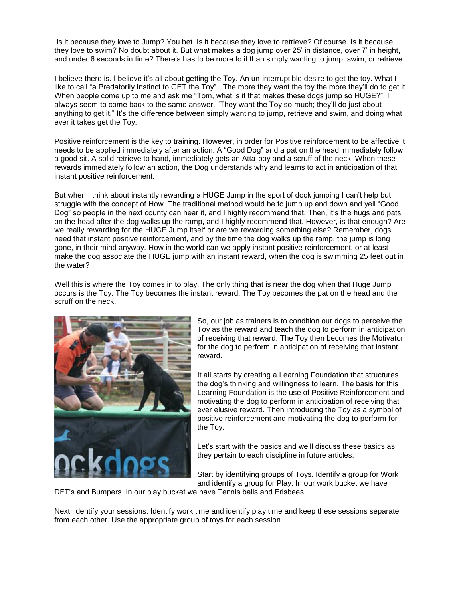Is it because they love to Jump? You bet. Is it because they love to retrieve? Of course. Is it because they love to swim? No doubt about it. But what makes a dog jump over 25' in distance, over 7' in height, and under 6 seconds in time? There's has to be more to it than simply wanting to jump, swim, or retrieve.

I believe there is. I believe it's all about getting the Toy. An un-interruptible desire to get the toy. What I like to call "a Predatorily Instinct to GET the Toy". The more they want the toy the more they'll do to get it. When people come up to me and ask me "Tom, what is it that makes these dogs jump so HUGE?". I always seem to come back to the same answer. "They want the Toy so much; they'll do just about anything to get it." It's the difference between simply wanting to jump, retrieve and swim, and doing what ever it takes get the Toy.

Positive reinforcement is the key to training. However, in order for Positive reinforcement to be affective it needs to be applied immediately after an action. A "Good Dog" and a pat on the head immediately follow a good sit. A solid retrieve to hand, immediately gets an Atta-boy and a scruff of the neck. When these rewards immediately follow an action, the Dog understands why and learns to act in anticipation of that instant positive reinforcement.

But when I think about instantly rewarding a HUGE Jump in the sport of dock jumping I can't help but struggle with the concept of How. The traditional method would be to jump up and down and yell "Good Dog" so people in the next county can hear it, and I highly recommend that. Then, it's the hugs and pats on the head after the dog walks up the ramp, and I highly recommend that. However, is that enough? Are we really rewarding for the HUGE Jump itself or are we rewarding something else? Remember, dogs need that instant positive reinforcement, and by the time the dog walks up the ramp, the jump is long gone, in their mind anyway. How in the world can we apply instant positive reinforcement, or at least make the dog associate the HUGE jump with an instant reward, when the dog is swimming 25 feet out in the water?

Well this is where the Toy comes in to play. The only thing that is near the dog when that Huge Jump occurs is the Toy. The Toy becomes the instant reward. The Toy becomes the pat on the head and the scruff on the neck.



So, our job as trainers is to condition our dogs to perceive the Toy as the reward and teach the dog to perform in anticipation of receiving that reward. The Toy then becomes the Motivator for the dog to perform in anticipation of receiving that instant reward.

It all starts by creating a Learning Foundation that structures the dog's thinking and willingness to learn. The basis for this Learning Foundation is the use of Positive Reinforcement and motivating the dog to perform in anticipation of receiving that ever elusive reward. Then introducing the Toy as a symbol of positive reinforcement and motivating the dog to perform for the Toy.

Let's start with the basics and we'll discuss these basics as they pertain to each discipline in future articles.

Start by identifying groups of Toys. Identify a group for Work and identify a group for Play. In our work bucket we have

DFT's and Bumpers. In our play bucket we have Tennis balls and Frisbees.

Next, identify your sessions. Identify work time and identify play time and keep these sessions separate from each other. Use the appropriate group of toys for each session.